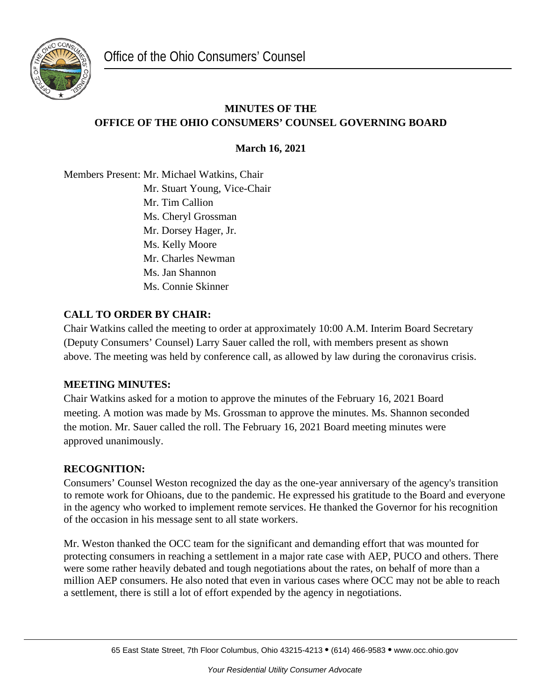

# **MINUTES OF THE OFFICE OF THE OHIO CONSUMERS' COUNSEL GOVERNING BOARD**

**March 16, 2021**

Members Present: Mr. Michael Watkins, Chair Mr. Stuart Young, Vice-Chair Mr. Tim Callion Ms. Cheryl Grossman Mr. Dorsey Hager, Jr. Ms. Kelly Moore Mr. Charles Newman Ms. Jan Shannon Ms. Connie Skinner

## **CALL TO ORDER BY CHAIR:**

Chair Watkins called the meeting to order at approximately 10:00 A.M. Interim Board Secretary (Deputy Consumers' Counsel) Larry Sauer called the roll, with members present as shown above. The meeting was held by conference call, as allowed by law during the coronavirus crisis.

## **MEETING MINUTES:**

Chair Watkins asked for a motion to approve the minutes of the February 16, 2021 Board meeting. A motion was made by Ms. Grossman to approve the minutes. Ms. Shannon seconded the motion. Mr. Sauer called the roll. The February 16, 2021 Board meeting minutes were approved unanimously.

#### **RECOGNITION:**

Consumers' Counsel Weston recognized the day as the one-year anniversary of the agency's transition to remote work for Ohioans, due to the pandemic. He expressed his gratitude to the Board and everyone in the agency who worked to implement remote services. He thanked the Governor for his recognition of the occasion in his message sent to all state workers.

Mr. Weston thanked the OCC team for the significant and demanding effort that was mounted for protecting consumers in reaching a settlement in a major rate case with AEP, PUCO and others. There were some rather heavily debated and tough negotiations about the rates, on behalf of more than a million AEP consumers. He also noted that even in various cases where OCC may not be able to reach a settlement, there is still a lot of effort expended by the agency in negotiations.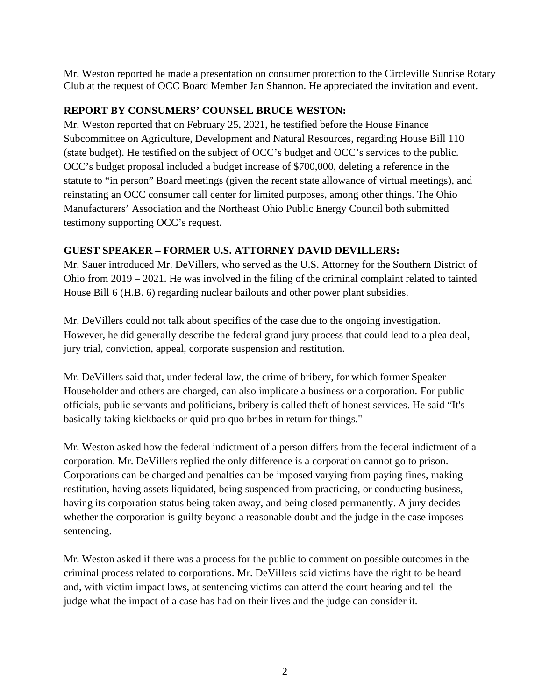Mr. Weston reported he made a presentation on consumer protection to the Circleville Sunrise Rotary Club at the request of OCC Board Member Jan Shannon. He appreciated the invitation and event.

## **REPORT BY CONSUMERS' COUNSEL BRUCE WESTON:**

Mr. Weston reported that on February 25, 2021, he testified before the House Finance Subcommittee on Agriculture, Development and Natural Resources, regarding House Bill 110 (state budget). He testified on the subject of OCC's budget and OCC's services to the public. OCC's budget proposal included a budget increase of \$700,000, deleting a reference in the statute to "in person" Board meetings (given the recent state allowance of virtual meetings), and reinstating an OCC consumer call center for limited purposes, among other things. The Ohio Manufacturers' Association and the Northeast Ohio Public Energy Council both submitted testimony supporting OCC's request.

### **GUEST SPEAKER – FORMER U.S. ATTORNEY DAVID DEVILLERS:**

Mr. Sauer introduced Mr. DeVillers, who served as the U.S. Attorney for the Southern District of Ohio from 2019 – 2021. He was involved in the filing of the criminal complaint related to tainted House Bill 6 (H.B. 6) regarding nuclear bailouts and other power plant subsidies.

Mr. DeVillers could not talk about specifics of the case due to the ongoing investigation. However, he did generally describe the federal grand jury process that could lead to a plea deal, jury trial, conviction, appeal, corporate suspension and restitution.

Mr. DeVillers said that, under federal law, the crime of bribery, for which former Speaker Householder and others are charged, can also implicate a business or a corporation. For public officials, public servants and politicians, bribery is called theft of honest services. He said "It's basically taking kickbacks or quid pro quo bribes in return for things."

Mr. Weston asked how the federal indictment of a person differs from the federal indictment of a corporation. Mr. DeVillers replied the only difference is a corporation cannot go to prison. Corporations can be charged and penalties can be imposed varying from paying fines, making restitution, having assets liquidated, being suspended from practicing, or conducting business, having its corporation status being taken away, and being closed permanently. A jury decides whether the corporation is guilty beyond a reasonable doubt and the judge in the case imposes sentencing.

Mr. Weston asked if there was a process for the public to comment on possible outcomes in the criminal process related to corporations. Mr. DeVillers said victims have the right to be heard and, with victim impact laws, at sentencing victims can attend the court hearing and tell the judge what the impact of a case has had on their lives and the judge can consider it.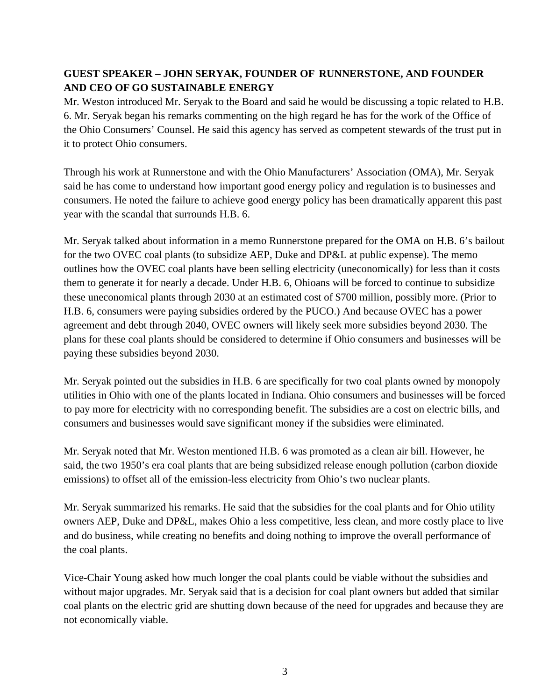# **GUEST SPEAKER – JOHN SERYAK, FOUNDER OF RUNNERSTONE, AND FOUNDER AND CEO OF GO SUSTAINABLE ENERGY**

Mr. Weston introduced Mr. Seryak to the Board and said he would be discussing a topic related to H.B. 6. Mr. Seryak began his remarks commenting on the high regard he has for the work of the Office of the Ohio Consumers' Counsel. He said this agency has served as competent stewards of the trust put in it to protect Ohio consumers.

Through his work at Runnerstone and with the Ohio Manufacturers' Association (OMA), Mr. Seryak said he has come to understand how important good energy policy and regulation is to businesses and consumers. He noted the failure to achieve good energy policy has been dramatically apparent this past year with the scandal that surrounds H.B. 6.

Mr. Seryak talked about information in a memo Runnerstone prepared for the OMA on H.B. 6's bailout for the two OVEC coal plants (to subsidize AEP, Duke and DP&L at public expense). The memo outlines how the OVEC coal plants have been selling electricity (uneconomically) for less than it costs them to generate it for nearly a decade. Under H.B. 6, Ohioans will be forced to continue to subsidize these uneconomical plants through 2030 at an estimated cost of \$700 million, possibly more. (Prior to H.B. 6, consumers were paying subsidies ordered by the PUCO.) And because OVEC has a power agreement and debt through 2040, OVEC owners will likely seek more subsidies beyond 2030. The plans for these coal plants should be considered to determine if Ohio consumers and businesses will be paying these subsidies beyond 2030.

Mr. Seryak pointed out the subsidies in H.B. 6 are specifically for two coal plants owned by monopoly utilities in Ohio with one of the plants located in Indiana. Ohio consumers and businesses will be forced to pay more for electricity with no corresponding benefit. The subsidies are a cost on electric bills, and consumers and businesses would save significant money if the subsidies were eliminated.

Mr. Seryak noted that Mr. Weston mentioned H.B. 6 was promoted as a clean air bill. However, he said, the two 1950's era coal plants that are being subsidized release enough pollution (carbon dioxide emissions) to offset all of the emission-less electricity from Ohio's two nuclear plants.

Mr. Seryak summarized his remarks. He said that the subsidies for the coal plants and for Ohio utility owners AEP, Duke and DP&L, makes Ohio a less competitive, less clean, and more costly place to live and do business, while creating no benefits and doing nothing to improve the overall performance of the coal plants.

Vice-Chair Young asked how much longer the coal plants could be viable without the subsidies and without major upgrades. Mr. Seryak said that is a decision for coal plant owners but added that similar coal plants on the electric grid are shutting down because of the need for upgrades and because they are not economically viable.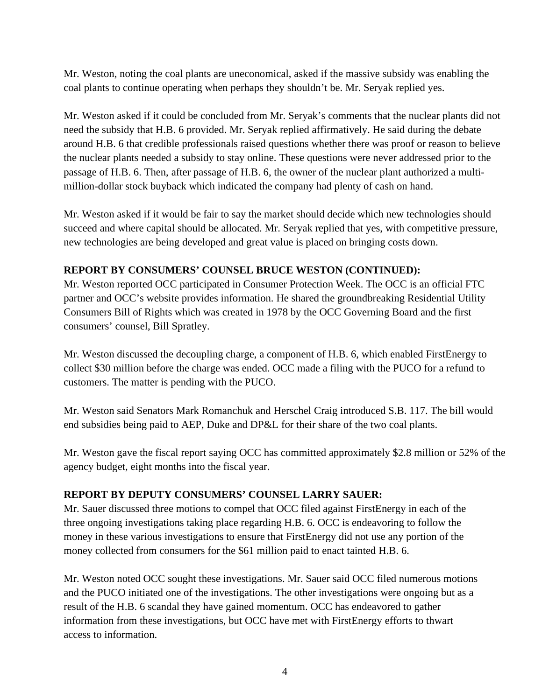Mr. Weston, noting the coal plants are uneconomical, asked if the massive subsidy was enabling the coal plants to continue operating when perhaps they shouldn't be. Mr. Seryak replied yes.

Mr. Weston asked if it could be concluded from Mr. Seryak's comments that the nuclear plants did not need the subsidy that H.B. 6 provided. Mr. Seryak replied affirmatively. He said during the debate around H.B. 6 that credible professionals raised questions whether there was proof or reason to believe the nuclear plants needed a subsidy to stay online. These questions were never addressed prior to the passage of H.B. 6. Then, after passage of H.B. 6, the owner of the nuclear plant authorized a multimillion-dollar stock buyback which indicated the company had plenty of cash on hand.

Mr. Weston asked if it would be fair to say the market should decide which new technologies should succeed and where capital should be allocated. Mr. Seryak replied that yes, with competitive pressure, new technologies are being developed and great value is placed on bringing costs down.

### **REPORT BY CONSUMERS' COUNSEL BRUCE WESTON (CONTINUED):**

Mr. Weston reported OCC participated in Consumer Protection Week. The OCC is an official FTC partner and OCC's website provides information. He shared the groundbreaking Residential Utility Consumers Bill of Rights which was created in 1978 by the OCC Governing Board and the first consumers' counsel, Bill Spratley.

Mr. Weston discussed the decoupling charge, a component of H.B. 6, which enabled FirstEnergy to collect \$30 million before the charge was ended. OCC made a filing with the PUCO for a refund to customers. The matter is pending with the PUCO.

Mr. Weston said Senators Mark Romanchuk and Herschel Craig introduced S.B. 117. The bill would end subsidies being paid to AEP, Duke and DP&L for their share of the two coal plants.

Mr. Weston gave the fiscal report saying OCC has committed approximately \$2.8 million or 52% of the agency budget, eight months into the fiscal year.

#### **REPORT BY DEPUTY CONSUMERS' COUNSEL LARRY SAUER:**

Mr. Sauer discussed three motions to compel that OCC filed against FirstEnergy in each of the three ongoing investigations taking place regarding H.B. 6. OCC is endeavoring to follow the money in these various investigations to ensure that FirstEnergy did not use any portion of the money collected from consumers for the \$61 million paid to enact tainted H.B. 6.

Mr. Weston noted OCC sought these investigations. Mr. Sauer said OCC filed numerous motions and the PUCO initiated one of the investigations. The other investigations were ongoing but as a result of the H.B. 6 scandal they have gained momentum. OCC has endeavored to gather information from these investigations, but OCC have met with FirstEnergy efforts to thwart access to information.